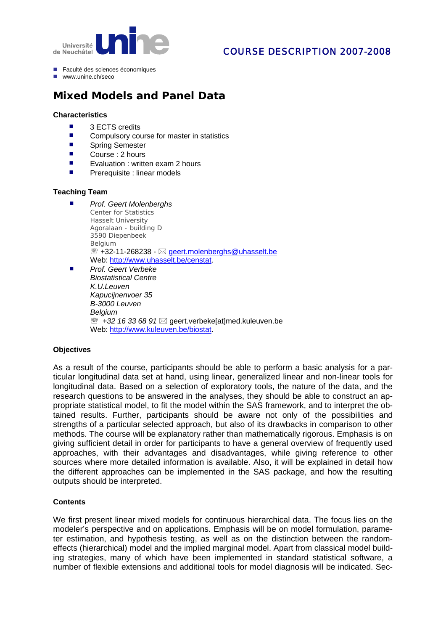

## COURSE DESCRIPTION 2007-2008

- Faculté des sciences économiques
- www.unine.ch/seco

# **Mixed Models and Panel Data**

#### **Characteristics**

- 3 ECTS credits
- Compulsory course for master in statistics<br>■ Spring Semester
- Spring Semester
- Course : 2 hours
- **EXECUTE:** Evaluation : written exam 2 hours
- **Prerequisite : linear models**

#### **Teaching Team**

- *Prof. Geert Molenberghs* Center for Statistics Hasselt University Agoralaan - building D 3590 Diepenbeek Belgium  $\mathbb{R}$  +32-11-268238 -  $\boxtimes$  [geert.molenberghs@uhasselt.be](mailto:geert.molenberghs@uhasselt.be) Web: [http://www.uhas](http://www.kuleuven.be/biostat)selt.be/censta[t.](http://www.uhasselt.be/censtat)
- *[Prof. Geert Verbeke](http://www.kuleuven.be/biostat)  [Biostatistical Centre](http://www.kuleuven.be/biostat)  [K.U.Leuven](http://www.kuleuven.be/biostat)  [Kapucijnenvoer 35](http://www.kuleuven.be/biostat)  [B-3000 Leuven](http://www.kuleuven.be/biostat)  [Belgium](http://www.kuleuven.be/biostat)*  <sup>■</sup> +32 16 33 68 91 ⊠ geert.verbeke[at]med.kuleuven.be [Web: http://www.kuleuven.be/biostat](http://www.kuleuven.be/biostat).

#### **Objectives**

As a result of the course, participants should be able to perform a basic analysis for a particular longitudinal data set at hand, using linear, generalized linear and non-linear tools for longitudinal data. Based on a selection of exploratory tools, the nature of the data, and the research questions to be answered in the analyses, they should be able to construct an appropriate statistical model, to fit the model within the SAS framework, and to interpret the obtained results. Further, participants should be aware not only of the possibilities and strengths of a particular selected approach, but also of its drawbacks in comparison to other methods. The course will be explanatory rather than mathematically rigorous. Emphasis is on giving sufficient detail in order for participants to have a general overview of frequently used approaches, with their advantages and disadvantages, while giving reference to other sources where more detailed information is available. Also, it will be explained in detail how the different approaches can be implemented in the SAS package, and how the resulting outputs should be interpreted.

#### **Contents**

We first present linear mixed models for continuous hierarchical data. The focus lies on the modeler's perspective and on applications. Emphasis will be on model formulation, parameter estimation, and hypothesis testing, as well as on the distinction between the randomeffects (hierarchical) model and the implied marginal model. Apart from classical model building strategies, many of which have been implemented in standard statistical software, a number of flexible extensions and additional tools for model diagnosis will be indicated. Sec